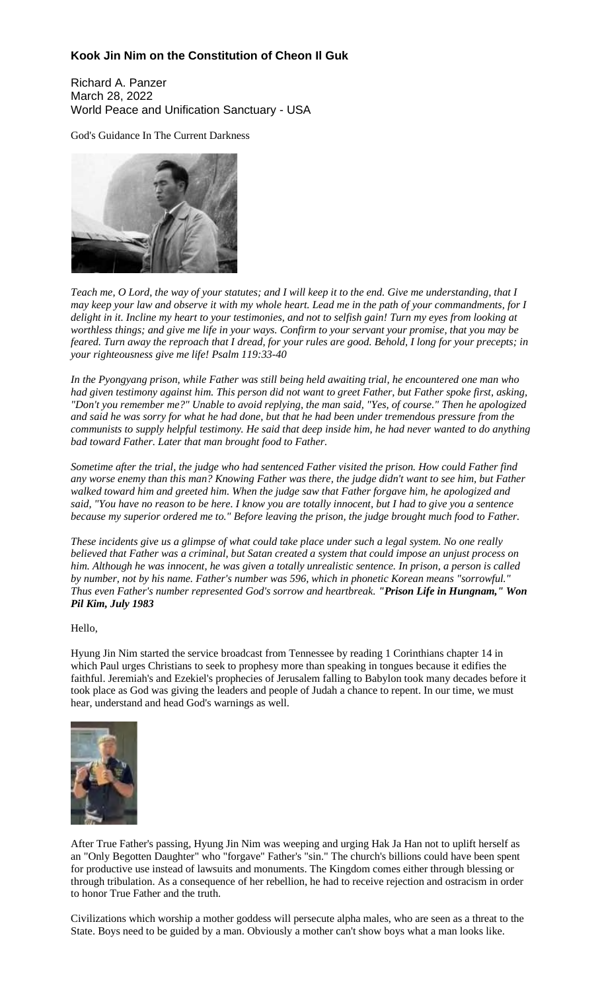#### **Kook Jin Nim on the Constitution of Cheon Il Guk**

Richard A. Panzer March 28, 2022 World Peace and Unification Sanctuary - USA

God's Guidance In The Current Darkness



Teach me, O Lord, the way of your statutes; and I will keep it to the end. Give me understanding, that I may keep your law and observe it with my whole heart. Lead me in the path of your commandments, for I delight in it. Incline my heart to your testimonies, and not to selfish gain! Turn my eyes from looking at worthless things; and give me life in your ways. Confirm to your servant your promise, that you may be feared. Turn away the reproach that I dread, for your rules are good. Behold, I long for your precepts; in *your righteousness give me life! Psalm 119:33-40*

*In the Pyongyang prison, while Father was still being held awaiting trial, he encountered one man who* had given testimony against him. This person did not want to greet Father, but Father spoke first, asking, *"Don't you remember me?" Unable to avoid replying, the man said, "Yes, of course." Then he apologized* and said he was sorry for what he had done, but that he had been under tremendous pressure from the communists to supply helpful testimony. He said that deep inside him, he had never wanted to do anything *bad toward Father. Later that man brought food to Father.*

*Sometime after the trial, the judge who had sentenced Father visited the prison. How could Father find* any worse enemy than this man? Knowing Father was there, the judge didn't want to see him, but Father *walked toward him and greeted him. When the judge saw that Father forgave him, he apologized and* said, "You have no reason to be here. I know you are totally innocent, but I had to give you a sentence *because my superior ordered me to." Before leaving the prison, the judge brought much food to Father.*

These incidents give us a glimpse of what could take place under such a legal system. No one really believed that Father was a criminal, but Satan created a system that could impose an unjust process on him. Although he was innocent, he was given a totally unrealistic sentence. In prison, a person is called *by number, not by his name. Father's number was 596, which in phonetic Korean means "sorrowful." Thus even Father's number represented God's sorrow and heartbreak. "Prison Life in Hungnam," Won Pil Kim, July 1983*

#### Hello,

Hyung Jin Nim started the service broadcast from Tennessee by reading 1 Corinthians chapter 14 in which Paul urges Christians to seek to prophesy more than speaking in tongues because it edifies the faithful. Jeremiah's and Ezekiel's prophecies of Jerusalem falling to Babylon took many decades before it took place as God was giving the leaders and people of Judah a chance to repent. In our time, we must hear, understand and head God's warnings as well.



After True Father's passing, Hyung Jin Nim was weeping and urging Hak Ja Han not to uplift herself as an "Only Begotten Daughter" who "forgave" Father's "sin." The church's billions could have been spent for productive use instead of lawsuits and monuments. The Kingdom comes either through blessing or through tribulation. As a consequence of her rebellion, he had to receive rejection and ostracism in order to honor True Father and the truth.

Civilizations which worship a mother goddess will persecute alpha males, who are seen as a threat to the State. Boys need to be guided by a man. Obviously a mother can't show boys what a man looks like.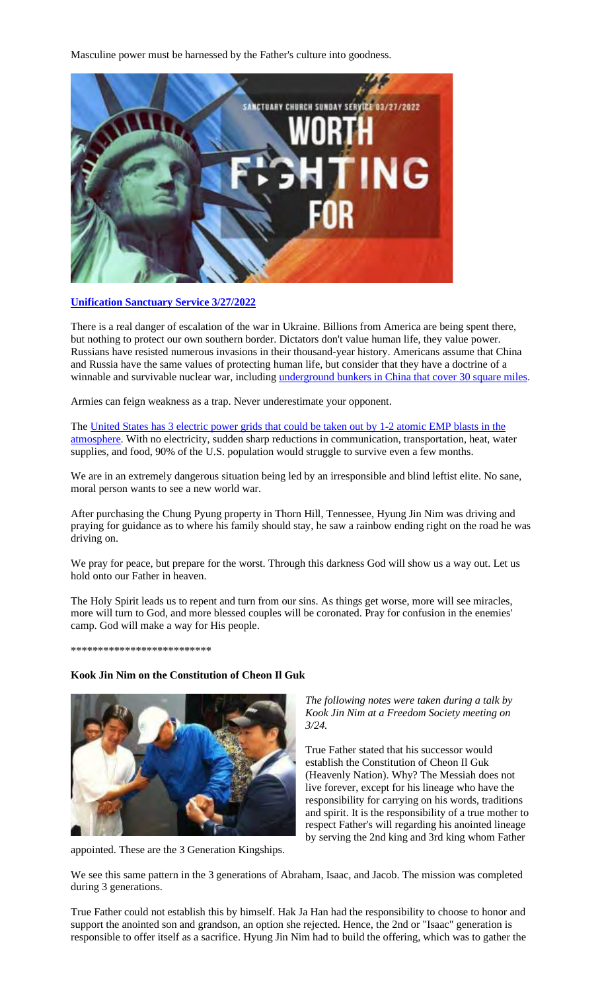Masculine power must be harnessed by the Father's culture into goodness.



#### **Unification Sanctuary Service 3/27/2022**

There is a real danger of escalation of the war in Ukraine. Billions from America are being spent there, but nothing to protect our own southern border. Dictators don't value human life, they value power. Russians have resisted numerous invasions in their thousand-year history. Americans assume that China and Russia have the same values of protecting human life, but consider that they have a doctrine of a winnable and survivable nuclear war, including underground bunkers in China that cover 30 square miles.

Armies can feign weakness as a trap. Never underestimate your opponent.

The United States has 3 electric power grids that could be taken out by 1-2 atomic EMP blasts in the atmosphere. With no electricity, sudden sharp reductions in communication, transportation, heat, water supplies, and food, 90% of the U.S. population would struggle to survive even a few months.

We are in an extremely dangerous situation being led by an irresponsible and blind leftist elite. No sane, moral person wants to see a new world war.

After purchasing the Chung Pyung property in Thorn Hill, Tennessee, Hyung Jin Nim was driving and praying for guidance as to where his family should stay, he saw a rainbow ending right on the road he was driving on.

We pray for peace, but prepare for the worst. Through this darkness God will show us a way out. Let us hold onto our Father in heaven.

The Holy Spirit leads us to repent and turn from our sins. As things get worse, more will see miracles, more will turn to God, and more blessed couples will be coronated. Pray for confusion in the enemies' camp. God will make a way for His people.

**\*\*\*\*\*\*\*\*\*\*\*\*\*\*\*\*\*\*\*\*\*\*\*\*\*\***

#### **Kook Jin Nim on the Constitution of Cheon Il Guk**



appointed. These are the 3 Generation Kingships.

*The following notes were taken during a talk by Kook Jin Nim at a Freedom Society meeting on 3/24.*

True Father stated that his successor would establish the Constitution of Cheon Il Guk (Heavenly Nation). Why? The Messiah does not live forever, except for his lineage who have the responsibility for carrying on his words, traditions and spirit. It is the responsibility of a true mother to respect Father's will regarding his anointed lineage by serving the 2nd king and 3rd king whom Father

We see this same pattern in the 3 generations of Abraham, Isaac, and Jacob. The mission was completed during 3 generations.

True Father could not establish this by himself. Hak Ja Han had the responsibility to choose to honor and support the anointed son and grandson, an option she rejected. Hence, the 2nd or "Isaac" generation is responsible to offer itself as a sacrifice. Hyung Jin Nim had to build the offering, which was to gather the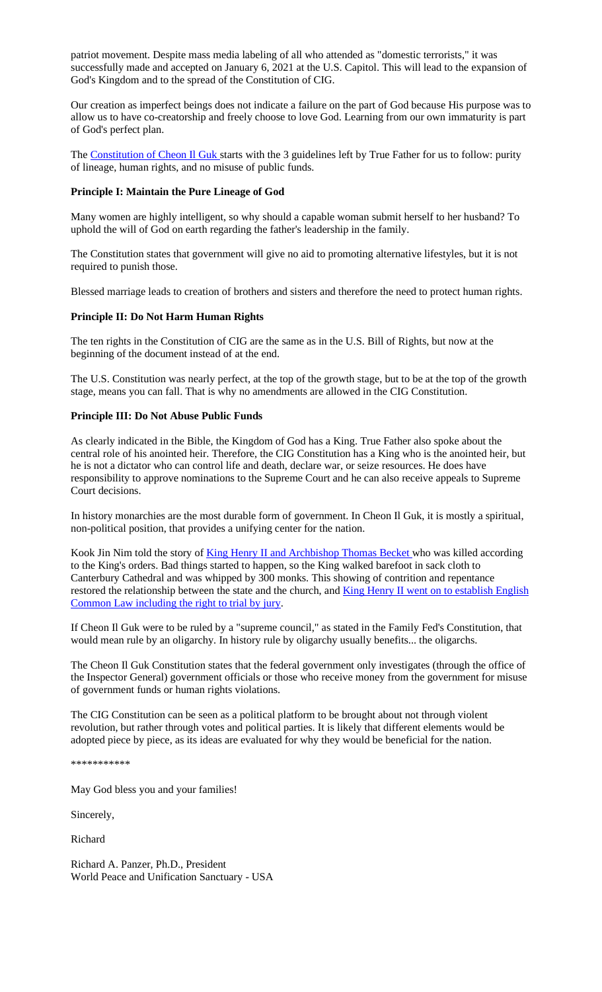patriot movement. Despite mass media labeling of all who attended as "domestic terrorists," it was successfully made and accepted on January 6, 2021 at the U.S. Capitol. This will lead to the expansion of God's Kingdom and to the spread of the Constitution of CIG.

Our creation as imperfect beings does not indicate a failure on the part of God because His purpose was to allow us to have co-creatorship and freely choose to love God. Learning from our own immaturity is part of God's perfect plan.

The Constitution of Cheon Il Guk starts with the 3 guidelines left by True Father for us to follow: purity of lineage, human rights, and no misuse of public funds.

#### **Principle I: Maintain the Pure Lineage of God**

Many women are highly intelligent, so why should a capable woman submit herself to her husband? To uphold the will of God on earth regarding the father's leadership in the family.

The Constitution states that government will give no aid to promoting alternative lifestyles, but it is not required to punish those.

Blessed marriage leads to creation of brothers and sisters and therefore the need to protect human rights.

#### **Principle II: Do Not Harm Human Rights**

The ten rights in the Constitution of CIG are the same as in the U.S. Bill of Rights, but now at the beginning of the document instead of at the end.

The U.S. Constitution was nearly perfect, at the top of the growth stage, but to be at the top of the growth stage, means you can fall. That is why no amendments are allowed in the CIG Constitution.

#### **Principle III: Do Not Abuse Public Funds**

As clearly indicated in the Bible, the Kingdom of God has a King. True Father also spoke about the central role of his anointed heir. Therefore, the CIG Constitution has a King who is the anointed heir, but he is not a dictator who can control life and death, declare war, or seize resources. He does have responsibility to approve nominations to the Supreme Court and he can also receive appeals to Supreme Court decisions.

In history monarchies are the most durable form of government. In Cheon Il Guk, it is mostly a spiritual, non-political position, that provides a unifying center for the nation.

Kook Jin Nim told the story of King Henry II and Archbishop Thomas Becket who was killed according to the King's orders. Bad things started to happen, so the King walked barefoot in sack cloth to Canterbury Cathedral and was whipped by 300 monks. This showing of contrition and repentance restored the relationship between the state and the church, and King Henry II went on to establish English Common Law including the right to trial by jury.

If Cheon Il Guk were to be ruled by a "supreme council," as stated in the Family Fed's Constitution, that would mean rule by an oligarchy. In history rule by oligarchy usually benefits... the oligarchs.

The Cheon Il Guk Constitution states that the federal government only investigates (through the office of the Inspector General) government officials or those who receive money from the government for misuse of government funds or human rights violations.

The CIG Constitution can be seen as a political platform to be brought about not through violent revolution, but rather through votes and political parties. It is likely that different elements would be adopted piece by piece, as its ideas are evaluated for why they would be beneficial for the nation.

\*\*\*\*\*\*\*\*\*\*\*

May God bless you and your families!

Sincerely,

Richard

Richard A. Panzer, Ph.D., President World Peace and Unification Sanctuary - USA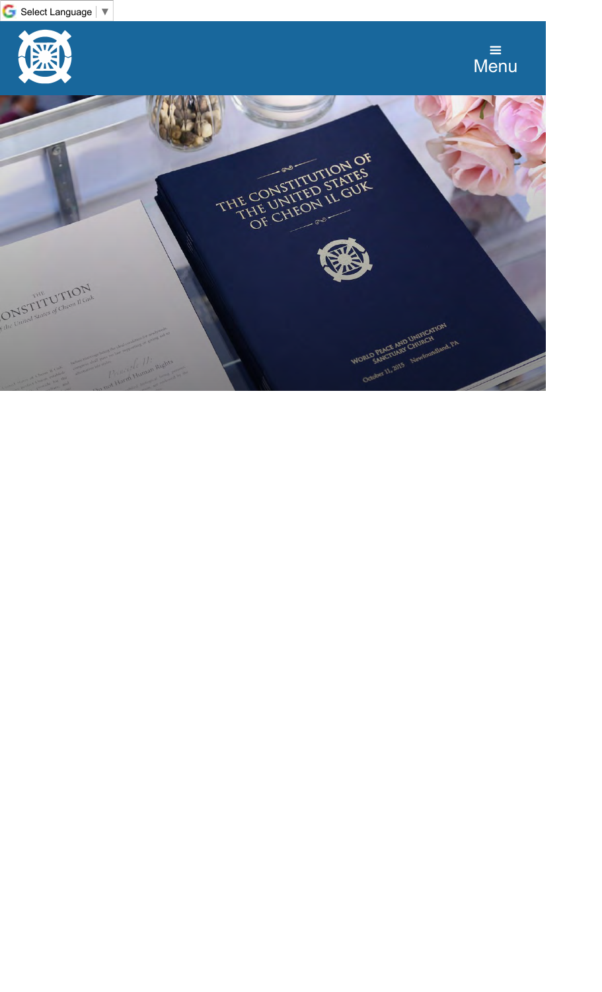

<span id="page-3-0"></span>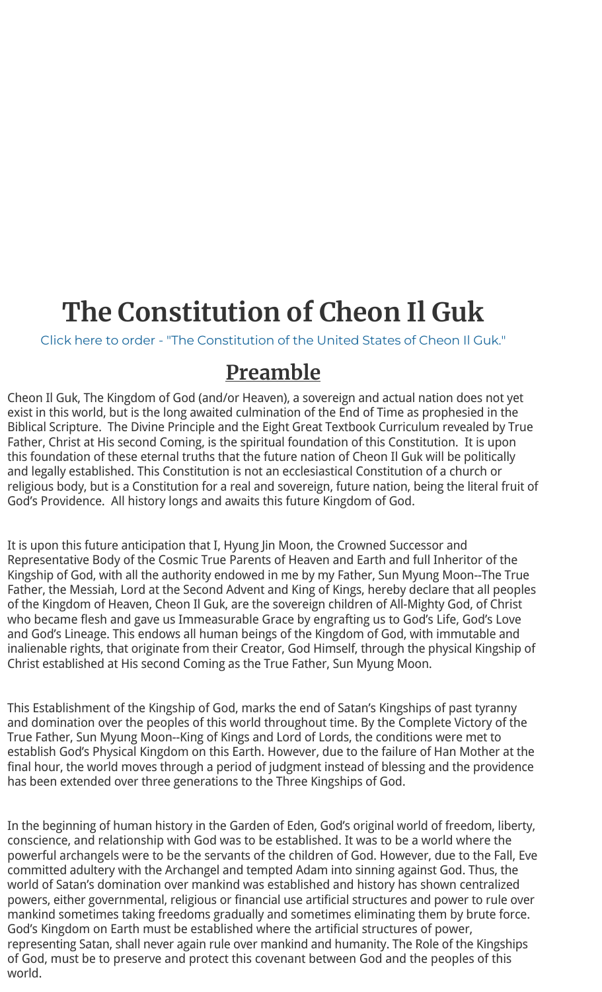# **The Constitution of Cheon Il Guk**

Click here to order - "The Constitution of the United States of Cheon Il Guk."

### **Preamble**

Cheon Il Guk, The Kingdom of God (and/or Heaven), a sovereign and actual nation does not yet exist in this world, but is the long awaited culmination of the End of Time as prophesied in the Biblical Scripture. The Divine Principle and the Eight Great Textbook Curriculum revealed by True Father, Christ at His second Coming, is the spiritual foundation of this Constitution. It is upon this foundation of these eternal truths that the future nation of Cheon Il Guk will be politically and legally established. This Constitution is not an ecclesiastical Constitution of a church or religious body, but is a Constitution for a real and sovereign, future nation, being the literal fruit of God's Providence. All history longs and awaits this future Kingdom of God.

It is upon this future anticipation that I, Hyung Jin Moon, the Crowned Successor and Representative Body of the Cosmic True Parents of Heaven and Earth and full Inheritor of the Kingship of God, with all the authority endowed in me by my Father, Sun Myung Moon--The True Father, the Messiah, Lord at the Second Advent and King of Kings, hereby declare that all peoples of the Kingdom of Heaven, Cheon Il Guk, are the sovereign children of All-Mighty God, of Christ who became flesh and gave us Immeasurable Grace by engrafting us to God's Life, God's Love and God's Lineage. This endows all human beings of the Kingdom of God, with immutable and inalienable rights, that originate from their Creator, God Himself, through the physical Kingship of Christ established at His second Coming as the True Father, Sun Myung Moon.

This Establishment of the Kingship of God, marks the end of Satan's Kingships of past tyranny and domination over the peoples of this world throughout time. By the Complete Victory of the True Father, Sun Myung Moon--King of Kings and Lord of Lords, the conditions were met to establish God's Physical Kingdom on this Earth. However, due to the failure of Han Mother at the final hour, the world moves through a period of judgment instead of blessing and the providence has been extended over three generations to the Three Kingships of God.

In the beginning of human history in the Garden of Eden, God's original world of freedom, liberty, conscience, and relationship with God was to be established. It was to be a world where the powerful archangels were to be the servants of the children of God. However, due to the Fall, Eve committed adultery with the Archangel and tempted Adam into sinning against God. Thus, the world of Satan's domination over mankind was established and history has shown centralized powers, either governmental, religious or financial use artificial structures and power to rule over mankind sometimes taking freedoms gradually and sometimes eliminating them by brute force. God's Kingdom on Earth must be established where the artificial structures of power, representing Satan, shall never again rule over mankind and humanity. The Role of the Kingships of God, must be to preserve and protect this covenant between God and the peoples of this world.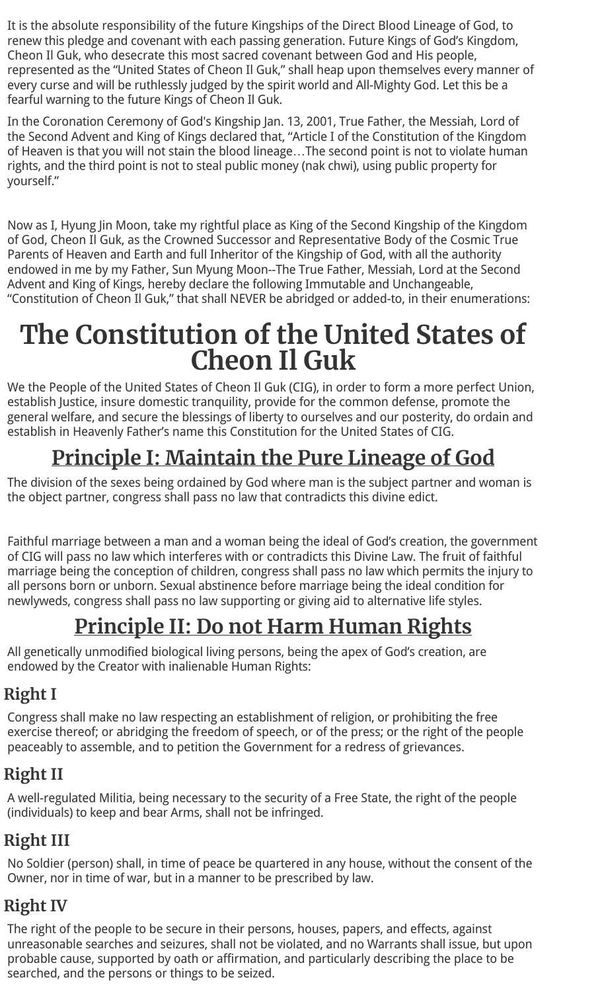It is the absolute responsibility of the future Kingships of the Direct Blood Lineage of God, to renew this pledge and covenant with each passing generation. Future Kings of God's Kingdom, Cheon Il Guk, who desecrate this most sacred covenant between God and His people, represented as the "United States of Cheon Il Guk," shall heap upon themselves every manner of every curse and will be ruthlessly judged by the spirit world and All-Mighty God. Let this be a fearful warning to the future Kings of Cheon Il Guk.

In the Coronation Ceremony of God's Kingship Jan. 13, 2001, True Father, the Messiah, Lord of the Second Advent and King of Kings declared that, "Article I of the Constitution of the Kingdom of Heaven is that you will not stain the blood lineage…The second point is not to violate human rights, and the third point is not to steal public money (nak chwi), using public property for yourself."

Now as I, Hyung Jin Moon, take my rightful place as King of the Second Kingship of the Kingdom of God, Cheon Il Guk, as the Crowned Successor and Representative Body of the Cosmic True Parents of Heaven and Earth and full Inheritor of the Kingship of God, with all the authority endowed in me by my Father, Sun Myung Moon--The True Father, Messiah, Lord at the Second Advent and King of Kings, hereby declare the following Immutable and Unchangeable, "Constitution of Cheon Il Guk," that shall NEVER be abridged or added-to, in their enumerations:

## **The Constitution of the United States of Cheon Il Guk**

We the People of the United States of Cheon Il Guk (CIG), in order to form a more perfect Union, establish Justice, insure domestic tranquility, provide for the common defense, promote the general welfare, and secure the blessings of liberty to ourselves and our posterity, do ordain and establish in Heavenly Father's name this Constitution for the United States of CIG.

## **Principle I: Maintain the Pure Lineage of God**

The division of the sexes being ordained by God where man is the subject partner and woman is the object partner, congress shall pass no law that contradicts this divine edict.

Faithful marriage between a man and a woman being the ideal of God's creation, the government of CIG will pass no law which interferes with or contradicts this Divine Law. The fruit of faithful marriage being the conception of children, congress shall pass no law which permits the injury to all persons born or unborn. Sexual abstinence before marriage being the ideal condition for newlyweds, congress shall pass no law supporting or giving aid to alternative life styles.

## **Principle II: Do not Harm Human Rights**

All genetically unmodified biological living persons, being the apex of God's creation, are endowed by the Creator with inalienable Human Rights:

### **Right I**

Congress shall make no law respecting an establishment of religion, or prohibiting the free exercise thereof; or abridging the freedom of speech, or of the press; or the right of the people peaceably to assemble, and to petition the Government for a redress of grievances.

### **Right II**

A well-regulated Militia, being necessary to the security of a Free State, the right of the people (individuals) to keep and bear Arms, shall not be infringed.

### **Right III**

No Soldier (person) shall, in time of peace be quartered in any house, without the consent of the Owner, nor in time of war, but in a manner to be prescribed by law.

### **Right IV**

The right of the people to be secure in their persons, houses, papers, and effects, against unreasonable searches and seizures, shall not be violated, and no Warrants shall issue, but upon probable cause, supported by oath or affirmation, and particularly describing the place to be searched, and the persons or things to be seized.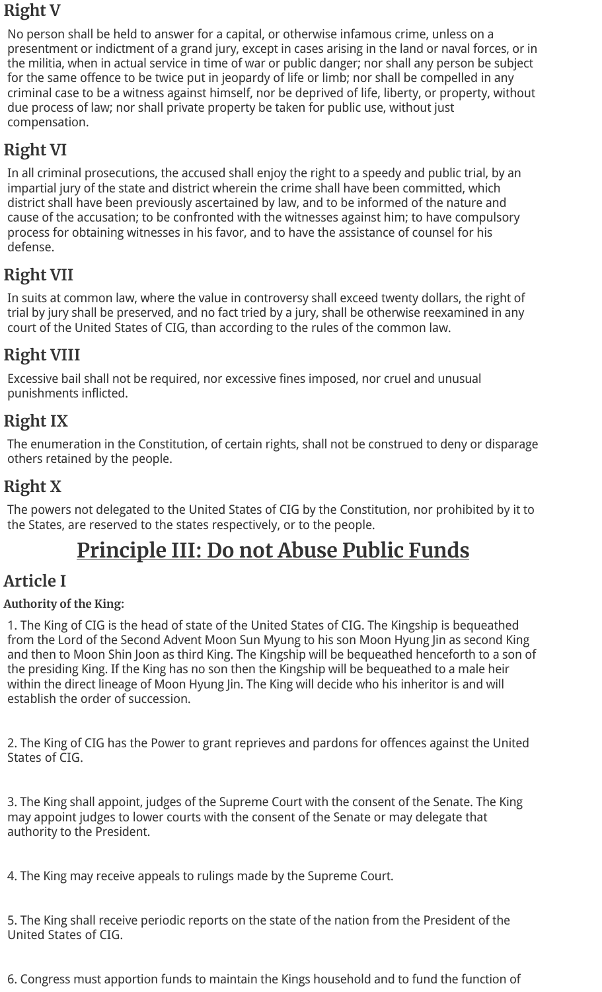### **Right V**

No person shall be held to answer for a capital, or otherwise infamous crime, unless on a presentment or indictment of a grand jury, except in cases arising in the land or naval forces, or in the militia, when in actual service in time of war or public danger; nor shall any person be subject for the same offence to be twice put in jeopardy of life or limb; nor shall be compelled in any criminal case to be a witness against himself, nor be deprived of life, liberty, or property, without due process of law; nor shall private property be taken for public use, without just compensation.

### **Right VI**

In all criminal prosecutions, the accused shall enjoy the right to a speedy and public trial, by an impartial jury of the state and district wherein the crime shall have been committed, which district shall have been previously ascertained by law, and to be informed of the nature and cause of the accusation; to be confronted with the witnesses against him; to have compulsory process for obtaining witnesses in his favor, and to have the assistance of counsel for his defense.

### **Right VII**

In suits at common law, where the value in controversy shall exceed twenty dollars, the right of trial by jury shall be preserved, and no fact tried by a jury, shall be otherwise reexamined in any court of the United States of CIG, than according to the rules of the common law.

### **Right VIII**

Excessive bail shall not be required, nor excessive fines imposed, nor cruel and unusual punishments inflicted.

### **Right IX**

The enumeration in the Constitution, of certain rights, shall not be construed to deny or disparage others retained by the people.

### **Right X**

The powers not delegated to the United States of CIG by the Constitution, nor prohibited by it to the States, are reserved to the states respectively, or to the people.

## **Principle III: Do not Abuse Public Funds**

### **Article I**

#### **Authority of the King:**

1. The King of CIG is the head of state of the United States of CIG. The Kingship is bequeathed from the Lord of the Second Advent Moon Sun Myung to his son Moon Hyung Jin as second King and then to Moon Shin Joon as third King. The Kingship will be bequeathed henceforth to a son of the presiding King. If the King has no son then the Kingship will be bequeathed to a male heir within the direct lineage of Moon Hyung Jin. The King will decide who his inheritor is and will establish the order of succession.

2. The King of CIG has the Power to grant reprieves and pardons for offences against the United States of CIG.

3. The King shall appoint, judges of the Supreme Court with the consent of the Senate. The King may appoint judges to lower courts with the consent of the Senate or may delegate that authority to the President.

4. The King may receive appeals to rulings made by the Supreme Court.

5. The King shall receive periodic reports on the state of the nation from the President of the United States of CIG.

6. Congress must apportion funds to maintain the Kings household and to fund the function of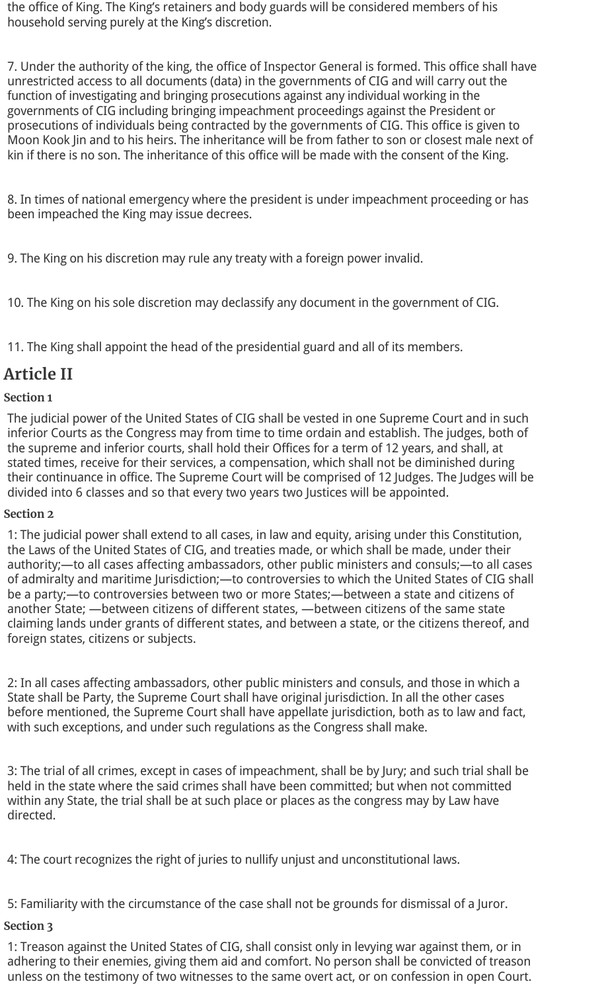the office of King. The King's retainers and body guards will be considered members of his household serving purely at the King's discretion.

7. Under the authority of the king, the office of Inspector General is formed. This office shall have unrestricted access to all documents (data) in the governments of CIG and will carry out the function of investigating and bringing prosecutions against any individual working in the governments of CIG including bringing impeachment proceedings against the President or prosecutions of individuals being contracted by the governments of CIG. This office is given to Moon Kook Jin and to his heirs. The inheritance will be from father to son or closest male next of kin if there is no son. The inheritance of this office will be made with the consent of the King.

8. In times of national emergency where the president is under impeachment proceeding or has been impeached the King may issue decrees.

9. The King on his discretion may rule any treaty with a foreign power invalid.

10. The King on his sole discretion may declassify any document in the government of CIG.

11. The King shall appoint the head of the presidential guard and all of its members.

### **Article II**

#### **Section 1**

The judicial power of the United States of CIG shall be vested in one Supreme Court and in such inferior Courts as the Congress may from time to time ordain and establish. The judges, both of the supreme and inferior courts, shall hold their Offices for a term of 12 years, and shall, at stated times, receive for their services, a compensation, which shall not be diminished during their continuance in office. The Supreme Court will be comprised of 12 Judges. The Judges will be divided into 6 classes and so that every two years two Justices will be appointed.

#### **Section 2**

1: The judicial power shall extend to all cases, in law and equity, arising under this Constitution, the Laws of the United States of CIG, and treaties made, or which shall be made, under their authority;—to all cases affecting ambassadors, other public ministers and consuls;—to all cases of admiralty and maritime Jurisdiction;—to controversies to which the United States of CIG shall be a party;—to controversies between two or more States;—between a state and citizens of another State; —between citizens of different states, —between citizens of the same state claiming lands under grants of different states, and between a state, or the citizens thereof, and foreign states, citizens or subjects.

2: In all cases affecting ambassadors, other public ministers and consuls, and those in which a State shall be Party, the Supreme Court shall have original jurisdiction. In all the other cases before mentioned, the Supreme Court shall have appellate jurisdiction, both as to law and fact, with such exceptions, and under such regulations as the Congress shall make.

3: The trial of all crimes, except in cases of impeachment, shall be by Jury; and such trial shall be held in the state where the said crimes shall have been committed; but when not committed within any State, the trial shall be at such place or places as the congress may by Law have directed.

4: The court recognizes the right of juries to nullify unjust and unconstitutional laws.

5: Familiarity with the circumstance of the case shall not be grounds for dismissal of a Juror.

#### **Section 3**

1: Treason against the United States of CIG, shall consist only in levying war against them, or in adhering to their enemies, giving them aid and comfort. No person shall be convicted of treason unless on the testimony of two witnesses to the same overt act, or on confession in open Court.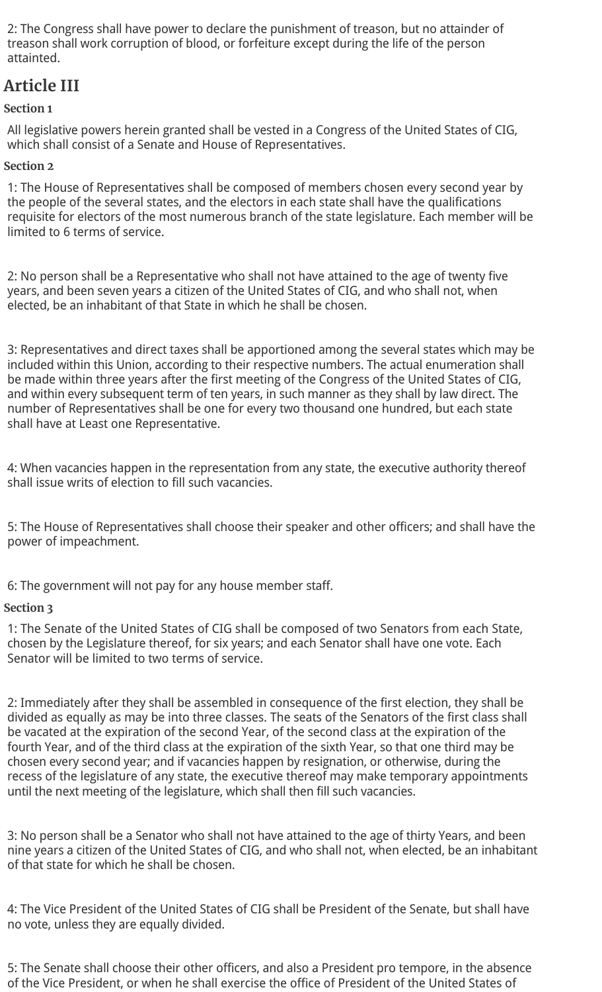2: The Congress shall have power to declare the punishment of treason, but no attainder of treason shall work corruption of blood, or forfeiture except during the life of the person attainted.

### **Article III**

#### **Section 1**

All legislative powers herein granted shall be vested in a Congress of the United States of CIG, which shall consist of a Senate and House of Representatives.

#### **Section 2**

1: The House of Representatives shall be composed of members chosen every second year by the people of the several states, and the electors in each state shall have the qualifications requisite for electors of the most numerous branch of the state legislature. Each member will be limited to 6 terms of service.

2: No person shall be a Representative who shall not have attained to the age of twenty five years, and been seven years a citizen of the United States of CIG, and who shall not, when elected, be an inhabitant of that State in which he shall be chosen.

3: Representatives and direct taxes shall be apportioned among the several states which may be included within this Union, according to their respective numbers. The actual enumeration shall be made within three years after the first meeting of the Congress of the United States of CIG, and within every subsequent term of ten years, in such manner as they shall by law direct. The number of Representatives shall be one for every two thousand one hundred, but each state shall have at Least one Representative.

4: When vacancies happen in the representation from any state, the executive authority thereof shall issue writs of election to fill such vacancies.

5: The House of Representatives shall choose their speaker and other officers; and shall have the power of impeachment.

6: The government will not pay for any house member staff.

#### **Section 3**

1: The Senate of the United States of CIG shall be composed of two Senators from each State, chosen by the Legislature thereof, for six years; and each Senator shall have one vote. Each Senator will be limited to two terms of service.

2: Immediately after they shall be assembled in consequence of the first election, they shall be divided as equally as may be into three classes. The seats of the Senators of the first class shall be vacated at the expiration of the second Year, of the second class at the expiration of the fourth Year, and of the third class at the expiration of the sixth Year, so that one third may be chosen every second year; and if vacancies happen by resignation, or otherwise, during the recess of the legislature of any state, the executive thereof may make temporary appointments until the next meeting of the legislature, which shall then fill such vacancies.

3: No person shall be a Senator who shall not have attained to the age of thirty Years, and been nine years a citizen of the United States of CIG, and who shall not, when elected, be an inhabitant of that state for which he shall be chosen.

4: The Vice President of the United States of CIG shall be President of the Senate, but shall have no vote, unless they are equally divided.

5: The Senate shall choose their other officers, and also a President pro tempore, in the absence of the Vice President, or when he shall exercise the office of President of the United States of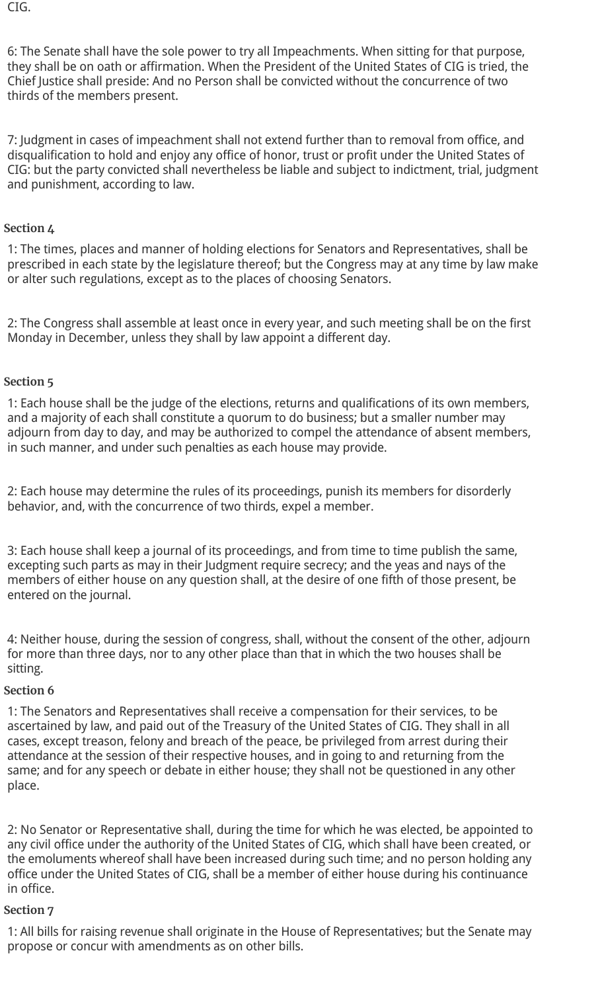CIG.

6: The Senate shall have the sole power to try all Impeachments. When sitting for that purpose, they shall be on oath or affirmation. When the President of the United States of CIG is tried, the Chief Justice shall preside: And no Person shall be convicted without the concurrence of two thirds of the members present.

7: Judgment in cases of impeachment shall not extend further than to removal from office, and disqualification to hold and enjoy any office of honor, trust or profit under the United States of CIG: but the party convicted shall nevertheless be liable and subject to indictment, trial, judgment and punishment, according to law.

#### **Section 4**

1: The times, places and manner of holding elections for Senators and Representatives, shall be prescribed in each state by the legislature thereof; but the Congress may at any time by law make or alter such regulations, except as to the places of choosing Senators.

2: The Congress shall assemble at least once in every year, and such meeting shall be on the first Monday in December, unless they shall by law appoint a different day.

#### **Section 5**

1: Each house shall be the judge of the elections, returns and qualifications of its own members, and a majority of each shall constitute a quorum to do business; but a smaller number may adjourn from day to day, and may be authorized to compel the attendance of absent members, in such manner, and under such penalties as each house may provide.

2: Each house may determine the rules of its proceedings, punish its members for disorderly behavior, and, with the concurrence of two thirds, expel a member.

3: Each house shall keep a journal of its proceedings, and from time to time publish the same, excepting such parts as may in their Judgment require secrecy; and the yeas and nays of the members of either house on any question shall, at the desire of one fifth of those present, be entered on the journal.

4: Neither house, during the session of congress, shall, without the consent of the other, adjourn for more than three days, nor to any other place than that in which the two houses shall be sitting.

#### **Section 6**

1: The Senators and Representatives shall receive a compensation for their services, to be ascertained by law, and paid out of the Treasury of the United States of CIG. They shall in all cases, except treason, felony and breach of the peace, be privileged from arrest during their attendance at the session of their respective houses, and in going to and returning from the same; and for any speech or debate in either house; they shall not be questioned in any other place.

2: No Senator or Representative shall, during the time for which he was elected, be appointed to any civil office under the authority of the United States of CIG, which shall have been created, or the emoluments whereof shall have been increased during such time; and no person holding any office under the United States of CIG, shall be a member of either house during his continuance in office.

#### **Section 7**

1: All bills for raising revenue shall originate in the House of Representatives; but the Senate may propose or concur with amendments as on other bills.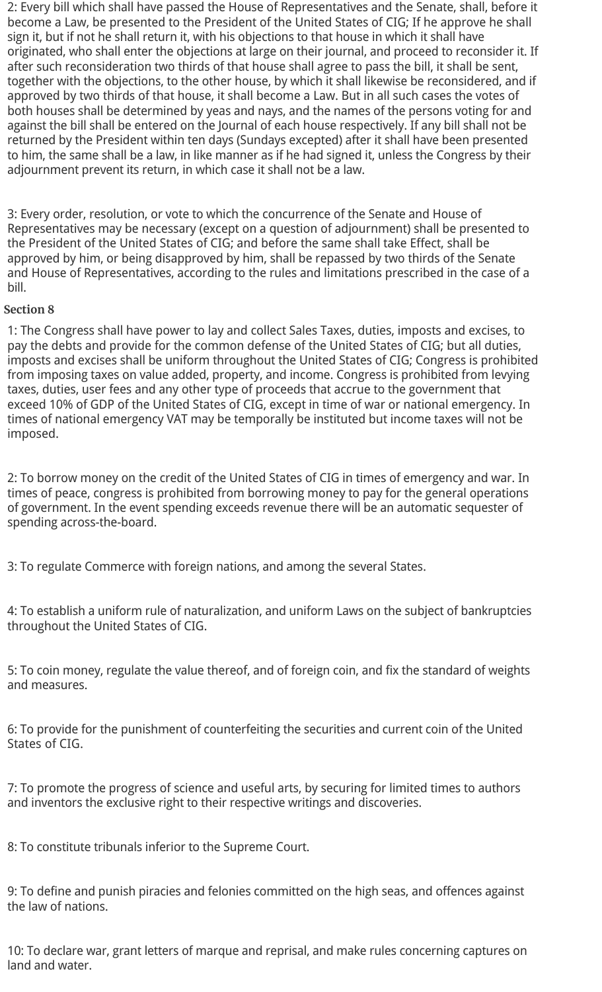2: Every bill which shall have passed the House of Representatives and the Senate, shall, before it become a Law, be presented to the President of the United States of CIG; If he approve he shall sign it, but if not he shall return it, with his objections to that house in which it shall have originated, who shall enter the objections at large on their journal, and proceed to reconsider it. If after such reconsideration two thirds of that house shall agree to pass the bill, it shall be sent, together with the objections, to the other house, by which it shall likewise be reconsidered, and if approved by two thirds of that house, it shall become a Law. But in all such cases the votes of both houses shall be determined by yeas and nays, and the names of the persons voting for and against the bill shall be entered on the Journal of each house respectively. If any bill shall not be returned by the President within ten days (Sundays excepted) after it shall have been presented to him, the same shall be a law, in like manner as if he had signed it, unless the Congress by their adjournment prevent its return, in which case it shall not be a law.

3: Every order, resolution, or vote to which the concurrence of the Senate and House of Representatives may be necessary (except on a question of adjournment) shall be presented to the President of the United States of CIG; and before the same shall take Effect, shall be approved by him, or being disapproved by him, shall be repassed by two thirds of the Senate and House of Representatives, according to the rules and limitations prescribed in the case of a bill.

#### **Section 8**

1: The Congress shall have power to lay and collect Sales Taxes, duties, imposts and excises, to pay the debts and provide for the common defense of the United States of CIG; but all duties, imposts and excises shall be uniform throughout the United States of CIG; Congress is prohibited from imposing taxes on value added, property, and income. Congress is prohibited from levying taxes, duties, user fees and any other type of proceeds that accrue to the government that exceed 10% of GDP of the United States of CIG, except in time of war or national emergency. In times of national emergency VAT may be temporally be instituted but income taxes will not be imposed.

2: To borrow money on the credit of the United States of CIG in times of emergency and war. In times of peace, congress is prohibited from borrowing money to pay for the general operations of government. In the event spending exceeds revenue there will be an automatic sequester of spending across-the-board.

3: To regulate Commerce with foreign nations, and among the several States.

4: To establish a uniform rule of naturalization, and uniform Laws on the subject of bankruptcies throughout the United States of CIG.

5: To coin money, regulate the value thereof, and of foreign coin, and fix the standard of weights and measures.

6: To provide for the punishment of counterfeiting the securities and current coin of the United States of CIG.

7: To promote the progress of science and useful arts, by securing for limited times to authors and inventors the exclusive right to their respective writings and discoveries.

8: To constitute tribunals inferior to the Supreme Court.

9: To define and punish piracies and felonies committed on the high seas, and offences against the law of nations.

10: To declare war, grant letters of marque and reprisal, and make rules concerning captures on land and water.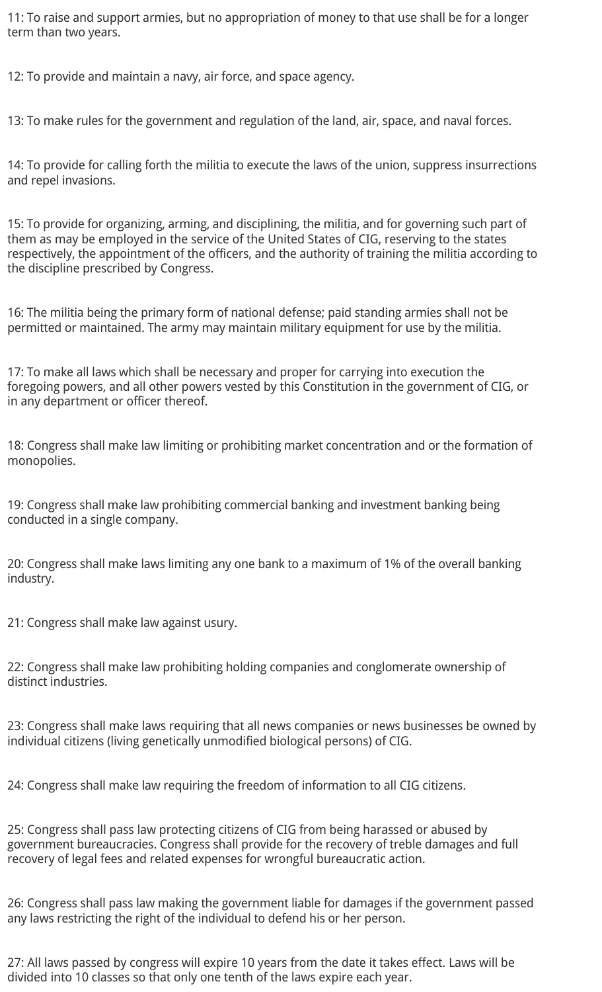11: To raise and support armies, but no appropriation of money to that use shall be for a longer term than two years.

12: To provide and maintain a navy, air force, and space agency.

13: To make rules for the government and regulation of the land, air, space, and naval forces.

14: To provide for calling forth the militia to execute the laws of the union, suppress insurrections and repel invasions.

15: To provide for organizing, arming, and disciplining, the militia, and for governing such part of them as may be employed in the service of the United States of CIG, reserving to the states respectively, the appointment of the officers, and the authority of training the militia according to the discipline prescribed by Congress.

16: The militia being the primary form of national defense; paid standing armies shall not be permitted or maintained. The army may maintain military equipment for use by the militia.

17: To make all laws which shall be necessary and proper for carrying into execution the foregoing powers, and all other powers vested by this Constitution in the government of CIG, or in any department or officer thereof.

18: Congress shall make law limiting or prohibiting market concentration and or the formation of monopolies.

19: Congress shall make law prohibiting commercial banking and investment banking being conducted in a single company.

20: Congress shall make laws limiting any one bank to a maximum of 1% of the overall banking industry.

21: Congress shall make law against usury.

22: Congress shall make law prohibiting holding companies and conglomerate ownership of distinct industries.

23: Congress shall make laws requiring that all news companies or news businesses be owned by individual citizens (living genetically unmodified biological persons) of CIG.

24: Congress shall make law requiring the freedom of information to all CIG citizens.

25: Congress shall pass law protecting citizens of CIG from being harassed or abused by government bureaucracies. Congress shall provide for the recovery of treble damages and full recovery of legal fees and related expenses for wrongful bureaucratic action.

26: Congress shall pass law making the government liable for damages if the government passed any laws restricting the right of the individual to defend his or her person.

27: All laws passed by congress will expire 10 years from the date it takes effect. Laws will be divided into 10 classes so that only one tenth of the laws expire each year.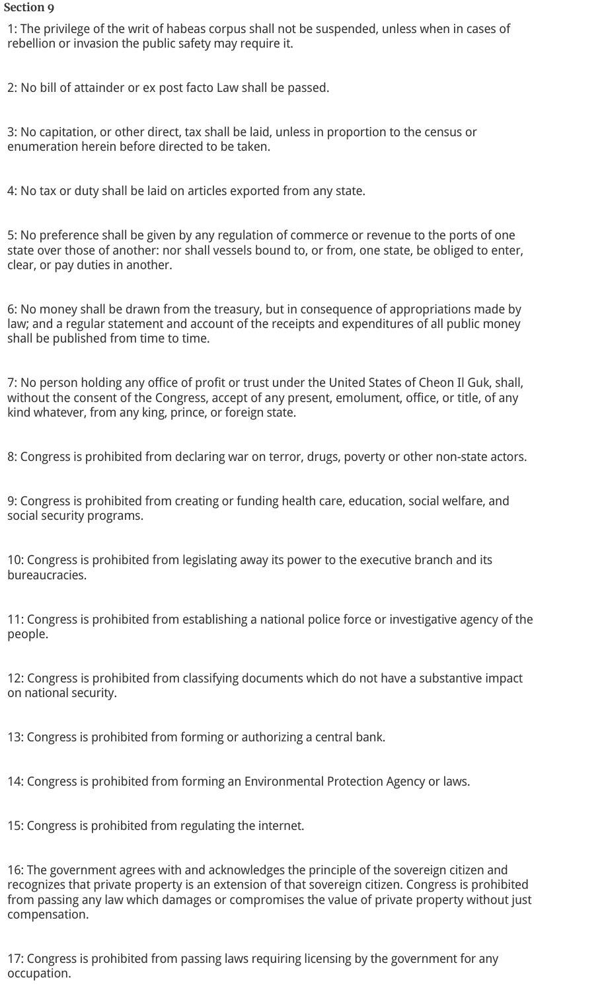#### **Section 9**

1: The privilege of the writ of habeas corpus shall not be suspended, unless when in cases of rebellion or invasion the public safety may require it.

2: No bill of attainder or ex post facto Law shall be passed.

3: No capitation, or other direct, tax shall be laid, unless in proportion to the census or enumeration herein before directed to be taken.

4: No tax or duty shall be laid on articles exported from any state.

5: No preference shall be given by any regulation of commerce or revenue to the ports of one state over those of another: nor shall vessels bound to, or from, one state, be obliged to enter, clear, or pay duties in another.

6: No money shall be drawn from the treasury, but in consequence of appropriations made by law; and a regular statement and account of the receipts and expenditures of all public money shall be published from time to time.

7: No person holding any office of profit or trust under the United States of Cheon Il Guk, shall, without the consent of the Congress, accept of any present, emolument, office, or title, of any kind whatever, from any king, prince, or foreign state.

8: Congress is prohibited from declaring war on terror, drugs, poverty or other non-state actors.

9: Congress is prohibited from creating or funding health care, education, social welfare, and social security programs.

10: Congress is prohibited from legislating away its power to the executive branch and its bureaucracies.

11: Congress is prohibited from establishing a national police force or investigative agency of the people.

12: Congress is prohibited from classifying documents which do not have a substantive impact on national security.

13: Congress is prohibited from forming or authorizing a central bank.

14: Congress is prohibited from forming an Environmental Protection Agency or laws.

15: Congress is prohibited from regulating the internet.

16: The government agrees with and acknowledges the principle of the sovereign citizen and recognizes that private property is an extension of that sovereign citizen. Congress is prohibited from passing any law which damages or compromises the value of private property without just compensation.

17: Congress is prohibited from passing laws requiring licensing by the government for any occupation.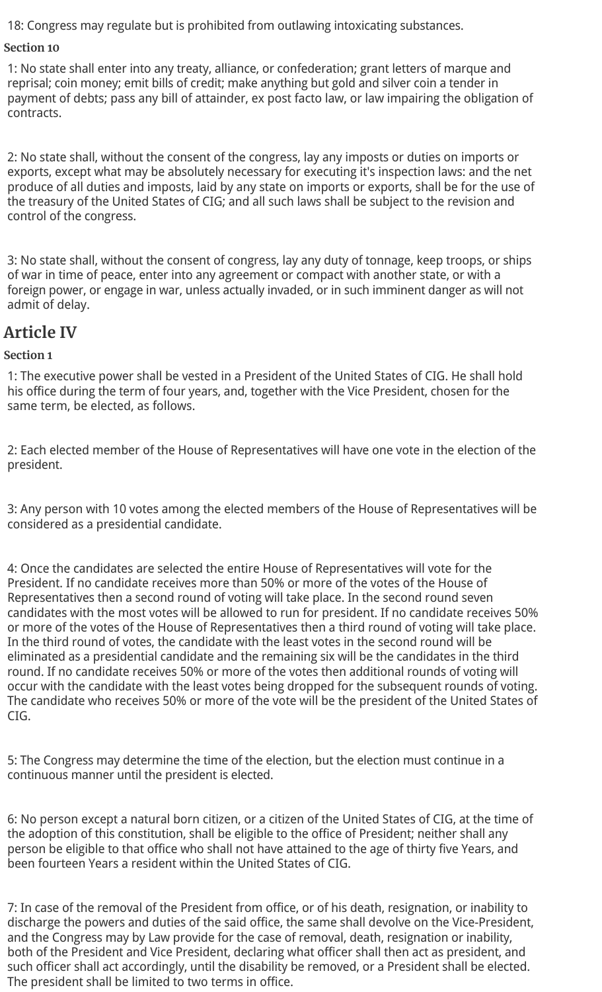18: Congress may regulate but is prohibited from outlawing intoxicating substances.

#### **Section 10**

1: No state shall enter into any treaty, alliance, or confederation; grant letters of marque and reprisal; coin money; emit bills of credit; make anything but gold and silver coin a tender in payment of debts; pass any bill of attainder, ex post facto law, or law impairing the obligation of contracts.

2: No state shall, without the consent of the congress, lay any imposts or duties on imports or exports, except what may be absolutely necessary for executing it's inspection laws: and the net produce of all duties and imposts, laid by any state on imports or exports, shall be for the use of the treasury of the United States of CIG; and all such laws shall be subject to the revision and control of the congress.

3: No state shall, without the consent of congress, lay any duty of tonnage, keep troops, or ships of war in time of peace, enter into any agreement or compact with another state, or with a foreign power, or engage in war, unless actually invaded, or in such imminent danger as will not admit of delay.

### **Article IV**

#### **Section 1**

1: The executive power shall be vested in a President of the United States of CIG. He shall hold his office during the term of four years, and, together with the Vice President, chosen for the same term, be elected, as follows.

2: Each elected member of the House of Representatives will have one vote in the election of the president.

3: Any person with 10 votes among the elected members of the House of Representatives will be considered as a presidential candidate.

4: Once the candidates are selected the entire House of Representatives will vote for the President. If no candidate receives more than 50% or more of the votes of the House of Representatives then a second round of voting will take place. In the second round seven candidates with the most votes will be allowed to run for president. If no candidate receives 50% or more of the votes of the House of Representatives then a third round of voting will take place. In the third round of votes, the candidate with the least votes in the second round will be eliminated as a presidential candidate and the remaining six will be the candidates in the third round. If no candidate receives 50% or more of the votes then additional rounds of voting will occur with the candidate with the least votes being dropped for the subsequent rounds of voting. The candidate who receives 50% or more of the vote will be the president of the United States of CIG.

5: The Congress may determine the time of the election, but the election must continue in a continuous manner until the president is elected.

6: No person except a natural born citizen, or a citizen of the United States of CIG, at the time of the adoption of this constitution, shall be eligible to the office of President; neither shall any person be eligible to that office who shall not have attained to the age of thirty five Years, and been fourteen Years a resident within the United States of CIG.

7: In case of the removal of the President from office, or of his death, resignation, or inability to discharge the powers and duties of the said office, the same shall devolve on the Vice-President, and the Congress may by Law provide for the case of removal, death, resignation or inability, both of the President and Vice President, declaring what officer shall then act as president, and such officer shall act accordingly, until the disability be removed, or a President shall be elected. The president shall be limited to two terms in office.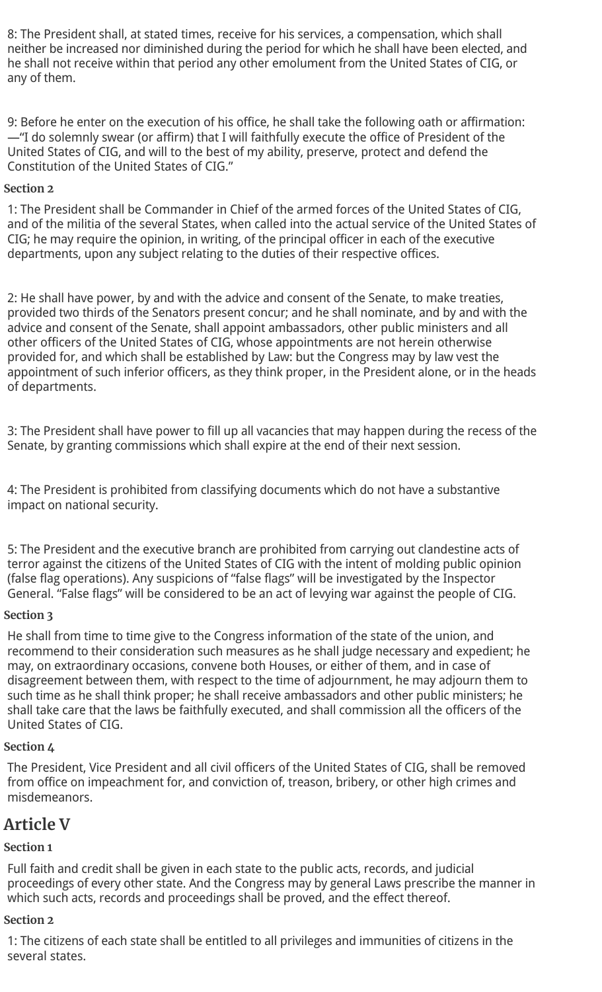8: The President shall, at stated times, receive for his services, a compensation, which shall neither be increased nor diminished during the period for which he shall have been elected, and he shall not receive within that period any other emolument from the United States of CIG, or any of them.

9: Before he enter on the execution of his office, he shall take the following oath or affirmation: —"I do solemnly swear (or affirm) that I will faithfully execute the office of President of the United States of CIG, and will to the best of my ability, preserve, protect and defend the Constitution of the United States of CIG."

#### **Section 2**

1: The President shall be Commander in Chief of the armed forces of the United States of CIG, and of the militia of the several States, when called into the actual service of the United States of CIG; he may require the opinion, in writing, of the principal officer in each of the executive departments, upon any subject relating to the duties of their respective offices.

2: He shall have power, by and with the advice and consent of the Senate, to make treaties, provided two thirds of the Senators present concur; and he shall nominate, and by and with the advice and consent of the Senate, shall appoint ambassadors, other public ministers and all other officers of the United States of CIG, whose appointments are not herein otherwise provided for, and which shall be established by Law: but the Congress may by law vest the appointment of such inferior officers, as they think proper, in the President alone, or in the heads of departments.

3: The President shall have power to fill up all vacancies that may happen during the recess of the Senate, by granting commissions which shall expire at the end of their next session.

4: The President is prohibited from classifying documents which do not have a substantive impact on national security.

5: The President and the executive branch are prohibited from carrying out clandestine acts of terror against the citizens of the United States of CIG with the intent of molding public opinion (false flag operations). Any suspicions of "false flags" will be investigated by the Inspector General. "False flags" will be considered to be an act of levying war against the people of CIG.

#### **Section 3**

He shall from time to time give to the Congress information of the state of the union, and recommend to their consideration such measures as he shall judge necessary and expedient; he may, on extraordinary occasions, convene both Houses, or either of them, and in case of disagreement between them, with respect to the time of adjournment, he may adjourn them to such time as he shall think proper; he shall receive ambassadors and other public ministers; he shall take care that the laws be faithfully executed, and shall commission all the officers of the United States of CIG.

#### **Section 4**

The President, Vice President and all civil officers of the United States of CIG, shall be removed from office on impeachment for, and conviction of, treason, bribery, or other high crimes and misdemeanors.

#### **Article V**

#### **Section 1**

Full faith and credit shall be given in each state to the public acts, records, and judicial proceedings of every other state. And the Congress may by general Laws prescribe the manner in which such acts, records and proceedings shall be proved, and the effect thereof.

#### **Section 2**

1: The citizens of each state shall be entitled to all privileges and immunities of citizens in the several states.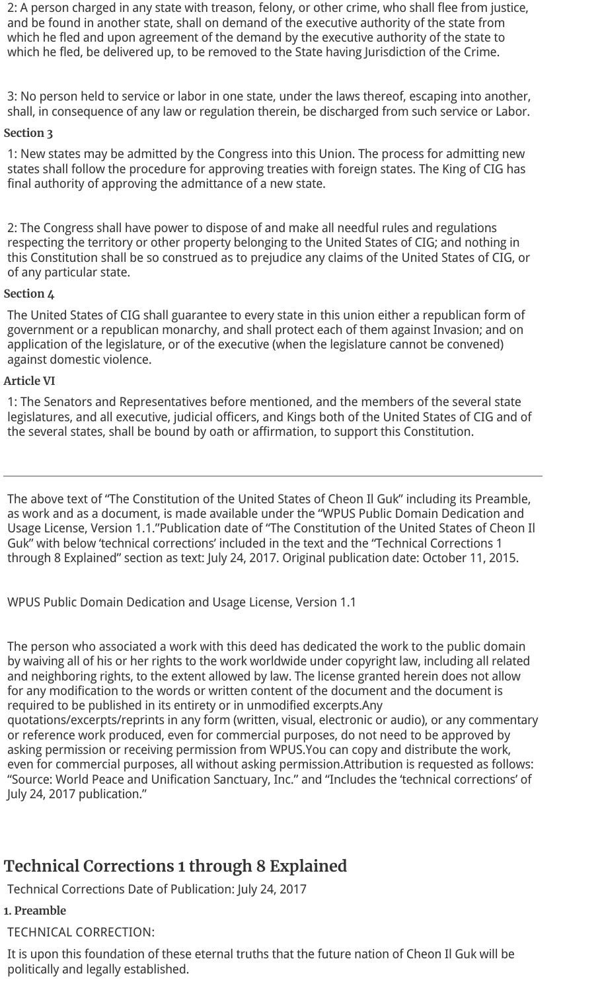2: A person charged in any state with treason, felony, or other crime, who shall flee from justice, and be found in another state, shall on demand of the executive authority of the state from which he fled and upon agreement of the demand by the executive authority of the state to which he fled, be delivered up, to be removed to the State having Jurisdiction of the Crime.

3: No person held to service or labor in one state, under the laws thereof, escaping into another, shall, in consequence of any law or regulation therein, be discharged from such service or Labor.

#### **Section 3**

1: New states may be admitted by the Congress into this Union. The process for admitting new states shall follow the procedure for approving treaties with foreign states. The King of CIG has final authority of approving the admittance of a new state.

2: The Congress shall have power to dispose of and make all needful rules and regulations respecting the territory or other property belonging to the United States of CIG; and nothing in this Constitution shall be so construed as to prejudice any claims of the United States of CIG, or of any particular state.

#### **Section 4**

The United States of CIG shall guarantee to every state in this union either a republican form of government or a republican monarchy, and shall protect each of them against Invasion; and on application of the legislature, or of the executive (when the legislature cannot be convened) against domestic violence.

#### **Article VI**

1: The Senators and Representatives before mentioned, and the members of the several state legislatures, and all executive, judicial officers, and Kings both of the United States of CIG and of the several states, shall be bound by oath or affirmation, to support this Constitution.

The above text of "The Constitution of the United States of Cheon Il Guk" including its Preamble, as work and as a document, is made available under the "WPUS Public Domain Dedication and Usage License, Version 1.1."Publication date of "The Constitution of the United States of Cheon Il Guk" with below 'technical corrections' included in the text and the "Technical Corrections 1 through 8 Explained" section as text: July 24, 2017. Original publication date: October 11, 2015.

WPUS Public Domain Dedication and Usage License, Version 1.1

The person who associated a work with this deed has dedicated the work to the public domain by waiving all of his or her rights to the work worldwide under copyright law, including all related and neighboring rights, to the extent allowed by law. The license granted herein does not allow for any modification to the words or written content of the document and the document is required to be published in its entirety or in unmodified excerpts.Any quotations/excerpts/reprints in any form (written, visual, electronic or audio), or any commentary or reference work produced, even for commercial purposes, do not need to be approved by asking permission or receiving permission from WPUS.You can copy and distribute the work, even for commercial purposes, all without asking permission.Attribution is requested as follows:

"Source: World Peace and Unification Sanctuary, Inc." and "Includes the 'technical corrections' of July 24, 2017 publication."

### **Technical Corrections 1 through 8 Explained**

Technical Corrections Date of Publication: July 24, 2017

#### **1. Preamble**

TECHNICAL CORRECTION:

It is upon this foundation of these eternal truths that the future nation of Cheon Il Guk will be politically and legally established.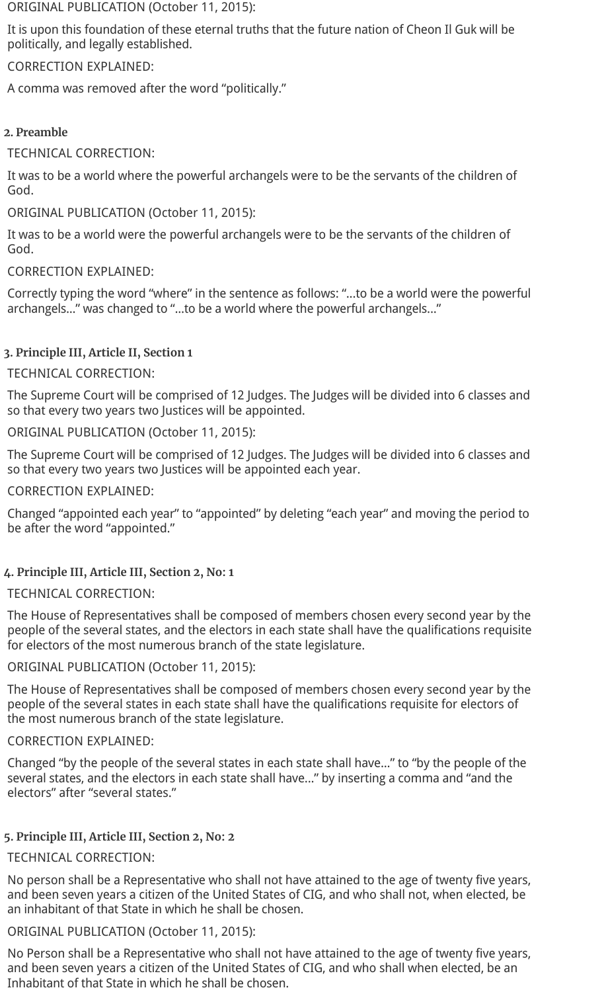ORIGINAL PUBLICATION (October 11, 2015):

It is upon this foundation of these eternal truths that the future nation of Cheon Il Guk will be politically, and legally established.

CORRECTION EXPLAINED:

A comma was removed after the word "politically."

#### **2. Preamble**

TECHNICAL CORRECTION:

It was to be a world where the powerful archangels were to be the servants of the children of God.

ORIGINAL PUBLICATION (October 11, 2015):

It was to be a world were the powerful archangels were to be the servants of the children of God.

CORRECTION EXPLAINED:

Correctly typing the word "where" in the sentence as follows: "...to be a world were the powerful archangels..." was changed to "...to be a world where the powerful archangels..."

#### **3. Principle III, Article II, Section 1**

#### TECHNICAL CORRECTION:

The Supreme Court will be comprised of 12 Judges. The Judges will be divided into 6 classes and so that every two years two Justices will be appointed.

ORIGINAL PUBLICATION (October 11, 2015):

The Supreme Court will be comprised of 12 Judges. The Judges will be divided into 6 classes and so that every two years two Justices will be appointed each year.

#### CORRECTION EXPLAINED:

Changed "appointed each year" to "appointed" by deleting "each year" and moving the period to be after the word "appointed."

#### **4. Principle III, Article III, Section 2, No: 1**

#### TECHNICAL CORRECTION:

The House of Representatives shall be composed of members chosen every second year by the people of the several states, and the electors in each state shall have the qualifications requisite for electors of the most numerous branch of the state legislature.

ORIGINAL PUBLICATION (October 11, 2015):

The House of Representatives shall be composed of members chosen every second year by the people of the several states in each state shall have the qualifications requisite for electors of the most numerous branch of the state legislature.

#### CORRECTION EXPLAINED:

Changed "by the people of the several states in each state shall have..." to "by the people of the several states, and the electors in each state shall have..." by inserting a comma and "and the electors" after "several states."

#### **5. Principle III, Article III, Section 2, No: 2**

#### TECHNICAL CORRECTION:

No person shall be a Representative who shall not have attained to the age of twenty five years, and been seven years a citizen of the United States of CIG, and who shall not, when elected, be an inhabitant of that State in which he shall be chosen.

#### ORIGINAL PUBLICATION (October 11, 2015):

No Person shall be a Representative who shall not have attained to the age of twenty five years, and been seven years a citizen of the United States of CIG, and who shall when elected, be an Inhabitant of that State in which he shall be chosen.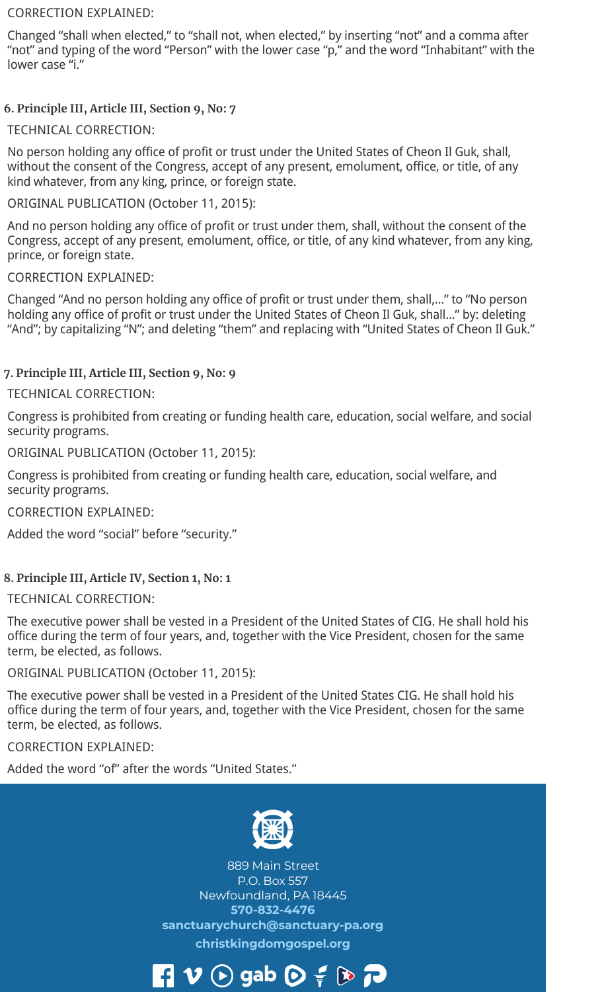#### CORRECTION EXPLAINED:

Changed "shall when elected," to "shall not, when elected," by inserting "not" and a comma after "not" and typing of the word "Person" with the lower case "p," and the word "Inhabitant" with the lower case "i."

#### **6. Principle III, Article III, Section 9, No: 7**

#### TECHNICAL CORRECTION:

No person holding any office of profit or trust under the United States of Cheon Il Guk, shall, without the consent of the Congress, accept of any present, emolument, office, or title, of any kind whatever, from any king, prince, or foreign state.

#### ORIGINAL PUBLICATION (October 11, 2015):

And no person holding any office of profit or trust under them, shall, without the consent of the Congress, accept of any present, emolument, office, or title, of any kind whatever, from any king, prince, or foreign state.

#### CORRECTION EXPLAINED:

Changed "And no person holding any office of profit or trust under them, shall,..." to "No person holding any office of profit or trust under the United States of Cheon Il Guk, shall..." by: deleting "And"; by capitalizing "N"; and deleting "them" and replacing with "United States of Cheon Il Guk."

#### **7. Principle III, Article III, Section 9, No: 9**

#### TECHNICAL CORRECTION:

Congress is prohibited from creating or funding health care, education, social welfare, and social security programs.

#### ORIGINAL PUBLICATION (October 11, 2015):

Congress is prohibited from creating or funding health care, education, social welfare, and security programs.

#### CORRECTION EXPLAINED:

Added the word "social" before "security."

#### **8. Principle III, Article IV, Section 1, No: 1**

#### TECHNICAL CORRECTION:

The executive power shall be vested in a President of the United States of CIG. He shall hold his office during the term of four years, and, together with the Vice President, chosen for the same term, be elected, as follows.

#### ORIGINAL PUBLICATION (October 11, 2015):

The executive power shall be vested in a President of the United States CIG. He shall hold his office during the term of four years, and, together with the Vice President, chosen for the same term, be elected, as follows.

#### CORRECTION EXPLAINED:

Added the word "of" after the words "United States."



889 Main Street P.O. Box 557 Newfoundland, PA 18445 **570-832-4476 sanctuarychurch@sanctuary-pa.org christkingdomgospel.org**

## $\mathbf{P} \bullet \mathbf{V} \bullet \mathbf{S}$  gab  $\mathbf{O} \bullet \mathbf{S} \bullet \mathbf{S}$